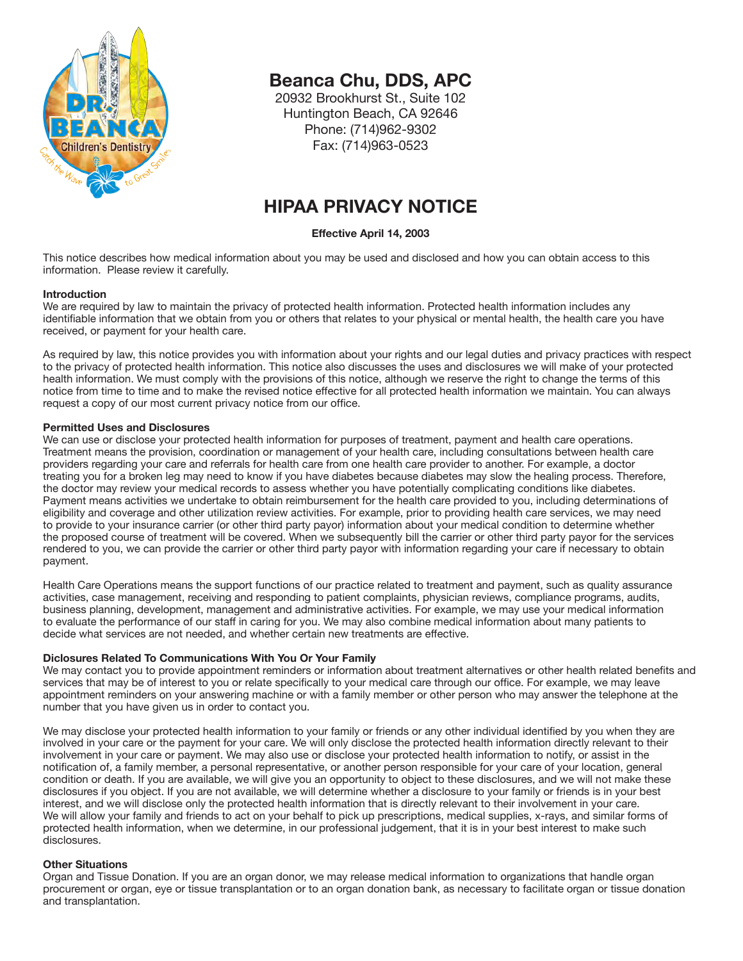

# **Beanca Chu, DDS, APC**

20932 Brookhurst St., Suite 102 Huntington Beach, CA 92646 Phone: (714)962-9302 Fax: (714)963-0523

# **HIPAA PRIVACY NOTICE**

# **Effective April 14, 2003**

This notice describes how medical information about you may be used and disclosed and how you can obtain access to this information. Please review it carefully.

#### **Introduction**

We are required by law to maintain the privacy of protected health information. Protected health information includes any identifiable information that we obtain from you or others that relates to your physical or mental health, the health care you have received, or payment for your health care.

As required by law, this notice provides you with information about your rights and our legal duties and privacy practices with respect to the privacy of protected health information. This notice also discusses the uses and disclosures we will make of your protected health information. We must comply with the provisions of this notice, although we reserve the right to change the terms of this notice from time to time and to make the revised notice effective for all protected health information we maintain. You can always request a copy of our most current privacy notice from our office.

# **Permitted Uses and Disclosures**

We can use or disclose your protected health information for purposes of treatment, payment and health care operations. Treatment means the provision, coordination or management of your health care, including consultations between health care providers regarding your care and referrals for health care from one health care provider to another. For example, a doctor treating you for a broken leg may need to know if you have diabetes because diabetes may slow the healing process. Therefore, the doctor may review your medical records to assess whether you have potentially complicating conditions like diabetes. Payment means activities we undertake to obtain reimbursement for the health care provided to you, including determinations of eligibility and coverage and other utilization review activities. For example, prior to providing health care services, we may need to provide to your insurance carrier (or other third party payor) information about your medical condition to determine whether the proposed course of treatment will be covered. When we subsequently bill the carrier or other third party payor for the services rendered to you, we can provide the carrier or other third party payor with information regarding your care if necessary to obtain payment.

Health Care Operations means the support functions of our practice related to treatment and payment, such as quality assurance activities, case management, receiving and responding to patient complaints, physician reviews, compliance programs, audits, business planning, development, management and administrative activities. For example, we may use your medical information to evaluate the performance of our staff in caring for you. We may also combine medical information about many patients to decide what services are not needed, and whether certain new treatments are effective.

# **Diclosures Related To Communications With You Or Your Family**

We may contact you to provide appointment reminders or information about treatment alternatives or other health related benefits and services that may be of interest to you or relate specifically to your medical care through our office. For example, we may leave appointment reminders on your answering machine or with a family member or other person who may answer the telephone at the number that you have given us in order to contact you.

We may disclose your protected health information to your family or friends or any other individual identified by you when they are involved in your care or the payment for your care. We will only disclose the protected health information directly relevant to their involvement in your care or payment. We may also use or disclose your protected health information to notify, or assist in the notification of, a family member, a personal representative, or another person responsible for your care of your location, general condition or death. If you are available, we will give you an opportunity to object to these disclosures, and we will not make these disclosures if you object. If you are not available, we will determine whether a disclosure to your family or friends is in your best interest, and we will disclose only the protected health information that is directly relevant to their involvement in your care. We will allow your family and friends to act on your behalf to pick up prescriptions, medical supplies, x-rays, and similar forms of protected health information, when we determine, in our professional judgement, that it is in your best interest to make such .<br>disclosures.

# **Other Situations**

Organ and Tissue Donation. If you are an organ donor, we may release medical information to organizations that handle organ procurement or organ, eye or tissue transplantation or to an organ donation bank, as necessary to facilitate organ or tissue donation and transplantation.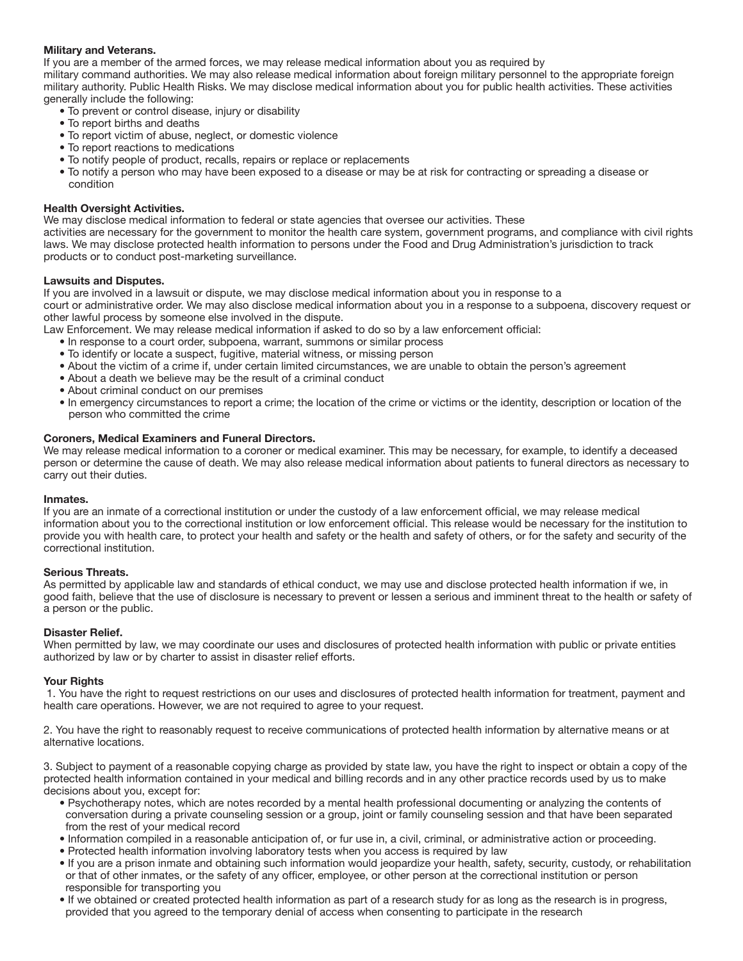# **Military and Veterans.**

If you are a member of the armed forces, we may release medical information about you as required by military command authorities. We may also release medical information about foreign military personnel to the appropriate foreign military authority. Public Health Risks. We may disclose medical information about you for public health activities. These activities generally include the following:

- To prevent or control disease, injury or disability
- To report births and deaths
- To report victim of abuse, neglect, or domestic violence
- To report reactions to medications
- To notify people of product, recalls, repairs or replace or replacements
- To notify a person who may have been exposed to a disease or may be at risk for contracting or spreading a disease or condition

# **Health Oversight Activities.**

We may disclose medical information to federal or state agencies that oversee our activities. These

activities are necessary for the government to monitor the health care system, government programs, and compliance with civil rights laws. We may disclose protected health information to persons under the Food and Drug Administration's jurisdiction to track products or to conduct post-marketing surveillance.

# **Lawsuits and Disputes.**

If you are involved in a lawsuit or dispute, we may disclose medical information about you in response to a court or administrative order. We may also disclose medical information about you in a response to a subpoena, discovery request or

other lawful process by someone else involved in the dispute.

Law Enforcement. We may release medical information if asked to do so by a law enforcement official:

- In response to a court order, subpoena, warrant, summons or similar process
- To identify or locate a suspect, fugitive, material witness, or missing person
- About the victim of a crime if, under certain limited circumstances, we are unable to obtain the person's agreement
- About a death we believe may be the result of a criminal conduct
- About criminal conduct on our premises
- In emergency circumstances to report a crime; the location of the crime or victims or the identity, description or location of the person who committed the crime

# **Coroners, Medical Examiners and Funeral Directors.**

We may release medical information to a coroner or medical examiner. This may be necessary, for example, to identify a deceased person or determine the cause of death. We may also release medical information about patients to funeral directors as necessary to carry out their duties.

# **Inmates.**

If you are an inmate of a correctional institution or under the custody of a law enforcement official, we may release medical information about you to the correctional institution or low enforcement official. This release would be necessary for the institution to provide you with health care, to protect your health and safety or the health and safety of others, or for the safety and security of the correctional institution.

# **Serious Threats.**

As permitted by applicable law and standards of ethical conduct, we may use and disclose protected health information if we, in good faith, believe that the use of disclosure is necessary to prevent or lessen a serious and imminent threat to the health or safety of a person or the public.

# **Disaster Relief.**

When permitted by law, we may coordinate our uses and disclosures of protected health information with public or private entities authorized by law or by charter to assist in disaster relief efforts.

# **Your Rights**

 1. You have the right to request restrictions on our uses and disclosures of protected health information for treatment, payment and health care operations. However, we are not required to agree to your request.

2. You have the right to reasonably request to receive communications of protected health information by alternative means or at alternative locations.

3. Subject to payment of a reasonable copying charge as provided by state law, you have the right to inspect or obtain a copy of the protected health information contained in your medical and billing records and in any other practice records used by us to make decisions about you, except for:

- Psychotherapy notes, which are notes recorded by a mental health professional documenting or analyzing the contents of conversation during a private counseling session or a group, joint or family counseling session and that have been separated from the rest of your medical record
- Information compiled in a reasonable anticipation of, or fur use in, a civil, criminal, or administrative action or proceeding.
- Protected health information involving laboratory tests when you access is required by law
- If you are a prison inmate and obtaining such information would jeopardize your health, safety, security, custody, or rehabilitation or that of other inmates, or the safety of any officer, employee, or other person at the correctional institution or person responsible for transporting you
- If we obtained or created protected health information as part of a research study for as long as the research is in progress, provided that you agreed to the temporary denial of access when consenting to participate in the research